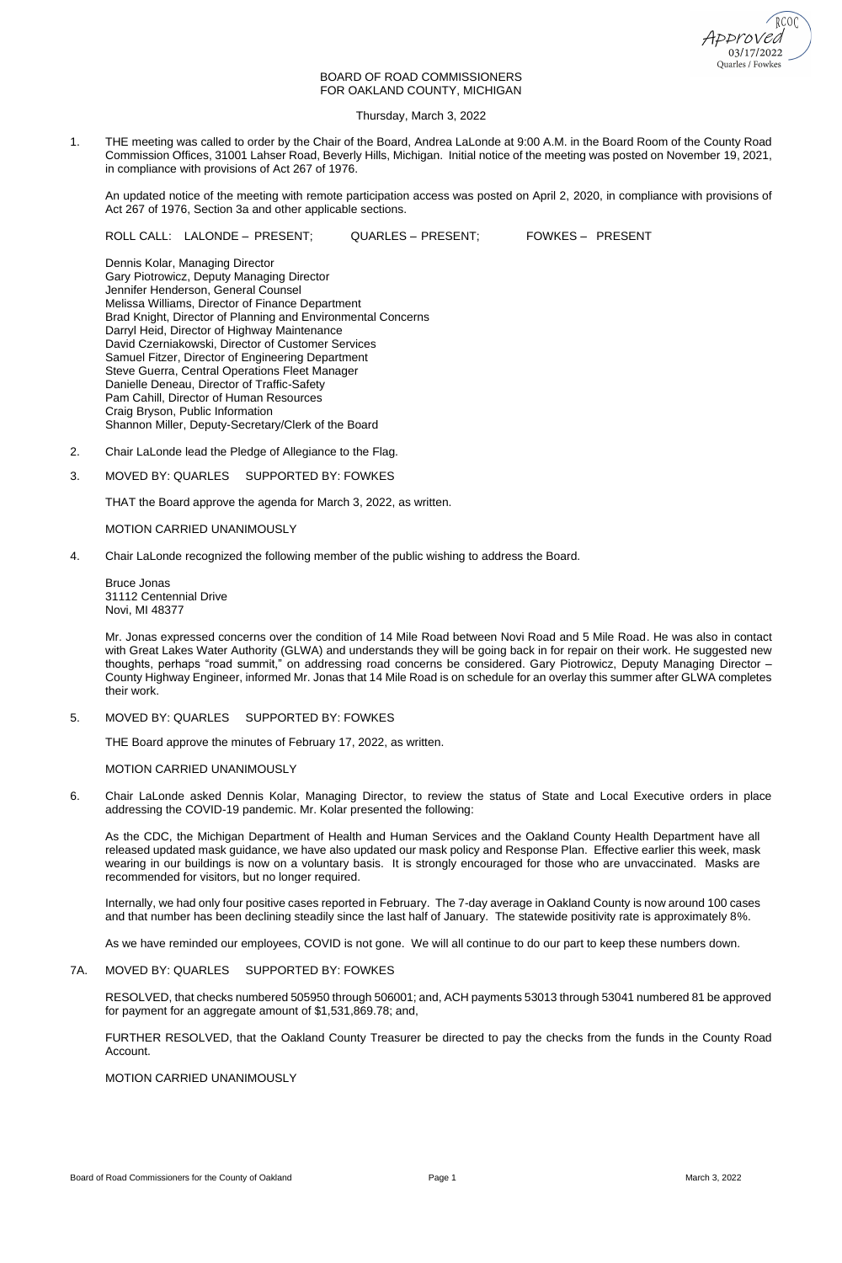

# BOARD OF ROAD COMMISSIONERS FOR OAKLAND COUNTY, MICHIGAN

Thursday, March 3, 2022

1. THE meeting was called to order by the Chair of the Board, Andrea LaLonde at 9:00 A.M. in the Board Room of the County Road Commission Offices, 31001 Lahser Road, Beverly Hills, Michigan. Initial notice of the meeting was posted on November 19, 2021, in compliance with provisions of Act 267 of 1976.

An updated notice of the meeting with remote participation access was posted on April 2, 2020, in compliance with provisions of Act 267 of 1976, Section 3a and other applicable sections.

ROLL CALL: LALONDE – PRESENT; QUARLES – PRESENT; FOWKES – PRESENT

Dennis Kolar, Managing Director Gary Piotrowicz, Deputy Managing Director Jennifer Henderson, General Counsel Melissa Williams, Director of Finance Department Brad Knight, Director of Planning and Environmental Concerns Darryl Heid, Director of Highway Maintenance David Czerniakowski, Director of Customer Services Samuel Fitzer, Director of Engineering Department Steve Guerra, Central Operations Fleet Manager Danielle Deneau, Director of Traffic-Safety Pam Cahill, Director of Human Resources Craig Bryson, Public Information Shannon Miller, Deputy-Secretary/Clerk of the Board

- 2. Chair LaLonde lead the Pledge of Allegiance to the Flag.
- 3. MOVED BY: QUARLES SUPPORTED BY: FOWKES

THAT the Board approve the agenda for March 3, 2022, as written.

MOTION CARRIED UNANIMOUSLY

4. Chair LaLonde recognized the following member of the public wishing to address the Board.

Bruce Jonas 31112 Centennial Drive Novi, MI 48377

Mr. Jonas expressed concerns over the condition of 14 Mile Road between Novi Road and 5 Mile Road. He was also in contact with Great Lakes Water Authority (GLWA) and understands they will be going back in for repair on their work. He suggested new thoughts, perhaps "road summit," on addressing road concerns be considered. Gary Piotrowicz, Deputy Managing Director – County Highway Engineer, informed Mr. Jonas that 14 Mile Road is on schedule for an overlay this summer after GLWA completes their work.

5. MOVED BY: QUARLES SUPPORTED BY: FOWKES

THE Board approve the minutes of February 17, 2022, as written.

MOTION CARRIED UNANIMOUSLY

6. Chair LaLonde asked Dennis Kolar, Managing Director, to review the status of State and Local Executive orders in place addressing the COVID-19 pandemic. Mr. Kolar presented the following:

As the CDC, the Michigan Department of Health and Human Services and the Oakland County Health Department have all released updated mask guidance, we have also updated our mask policy and Response Plan. Effective earlier this week, mask wearing in our buildings is now on a voluntary basis. It is strongly encouraged for those who are unvaccinated. Masks are recommended for visitors, but no longer required.

Internally, we had only four positive cases reported in February. The 7-day average in Oakland County is now around 100 cases and that number has been declining steadily since the last half of January. The statewide positivity rate is approximately 8%.

As we have reminded our employees, COVID is not gone. We will all continue to do our part to keep these numbers down.

#### 7A. MOVED BY: QUARLES SUPPORTED BY: FOWKES

RESOLVED, that checks numbered 505950 through 506001; and, ACH payments 53013 through 53041 numbered 81 be approved for payment for an aggregate amount of \$1,531,869.78; and,

FURTHER RESOLVED, that the Oakland County Treasurer be directed to pay the checks from the funds in the County Road Account.

## MOTION CARRIED UNANIMOUSLY

Board of Road Commissioners for the County of Oakland **Page 1** Page 1 March 3, 2022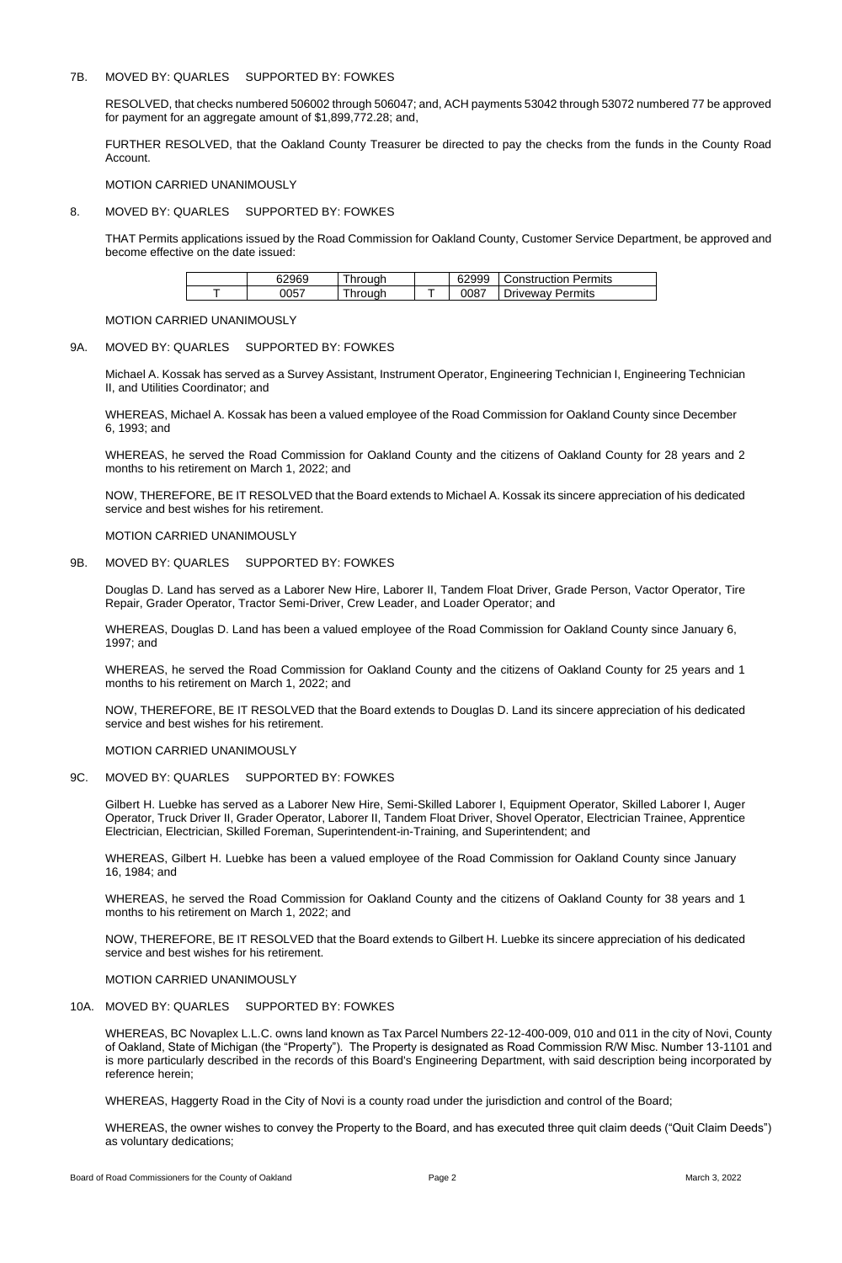# 7B. MOVED BY: QUARLES SUPPORTED BY: FOWKES

RESOLVED, that checks numbered 506002 through 506047; and, ACH payments 53042 through 53072 numbered 77 be approved for payment for an aggregate amount of \$1,899,772.28; and,

FURTHER RESOLVED, that the Oakland County Treasurer be directed to pay the checks from the funds in the County Road Account.

MOTION CARRIED UNANIMOUSLY

# 8. MOVED BY: QUARLES SUPPORTED BY: FOWKES

THAT Permits applications issued by the Road Commission for Oakland County, Customer Service Department, be approved and become effective on the date issued:

| 62969 | hrough | 62999 | Construction Permits |
|-------|--------|-------|----------------------|
| 0057  | hrough | 0087  | Driveway Permits     |

## MOTION CARRIED UNANIMOUSLY

# 9A. MOVED BY: QUARLES SUPPORTED BY: FOWKES

Michael A. Kossak has served as a Survey Assistant, Instrument Operator, Engineering Technician I, Engineering Technician II, and Utilities Coordinator; and

WHEREAS, Michael A. Kossak has been a valued employee of the Road Commission for Oakland County since December 6, 1993; and

WHEREAS, he served the Road Commission for Oakland County and the citizens of Oakland County for 28 years and 2 months to his retirement on March 1, 2022; and

NOW, THEREFORE, BE IT RESOLVED that the Board extends to Michael A. Kossak its sincere appreciation of his dedicated service and best wishes for his retirement.

MOTION CARRIED UNANIMOUSLY

## 9B. MOVED BY: QUARLES SUPPORTED BY: FOWKES

Douglas D. Land has served as a Laborer New Hire, Laborer II, Tandem Float Driver, Grade Person, Vactor Operator, Tire Repair, Grader Operator, Tractor Semi-Driver, Crew Leader, and Loader Operator; and

WHEREAS, Douglas D. Land has been a valued employee of the Road Commission for Oakland County since January 6, 1997; and

WHEREAS, he served the Road Commission for Oakland County and the citizens of Oakland County for 25 years and 1 months to his retirement on March 1, 2022; and

NOW, THEREFORE, BE IT RESOLVED that the Board extends to Douglas D. Land its sincere appreciation of his dedicated service and best wishes for his retirement.

MOTION CARRIED UNANIMOUSLY

## 9C. MOVED BY: QUARLES SUPPORTED BY: FOWKES

Gilbert H. Luebke has served as a Laborer New Hire, Semi-Skilled Laborer I, Equipment Operator, Skilled Laborer I, Auger Operator, Truck Driver II, Grader Operator, Laborer II, Tandem Float Driver, Shovel Operator, Electrician Trainee, Apprentice Electrician, Electrician, Skilled Foreman, Superintendent-in-Training, and Superintendent; and

WHEREAS, Gilbert H. Luebke has been a valued employee of the Road Commission for Oakland County since January 16, 1984; and

WHEREAS, he served the Road Commission for Oakland County and the citizens of Oakland County for 38 years and 1 months to his retirement on March 1, 2022; and

NOW, THEREFORE, BE IT RESOLVED that the Board extends to Gilbert H. Luebke its sincere appreciation of his dedicated service and best wishes for his retirement.

MOTION CARRIED UNANIMOUSLY

# 10A. MOVED BY: QUARLES SUPPORTED BY: FOWKES

WHEREAS, BC Novaplex L.L.C. owns land known as Tax Parcel Numbers 22-12-400-009, 010 and 011 in the city of Novi, County of Oakland, State of Michigan (the "Property"). The Property is designated as Road Commission R/W Misc. Number 13-1101 and is more particularly described in the records of this Board's Engineering Department, with said description being incorporated by reference herein;

WHEREAS, Haggerty Road in the City of Novi is a county road under the jurisdiction and control of the Board;

WHEREAS, the owner wishes to convey the Property to the Board, and has executed three quit claim deeds ("Quit Claim Deeds") as voluntary dedications;

Board of Road Commissioners for the County of Oakland **Page 2** Page 2 March 3, 2022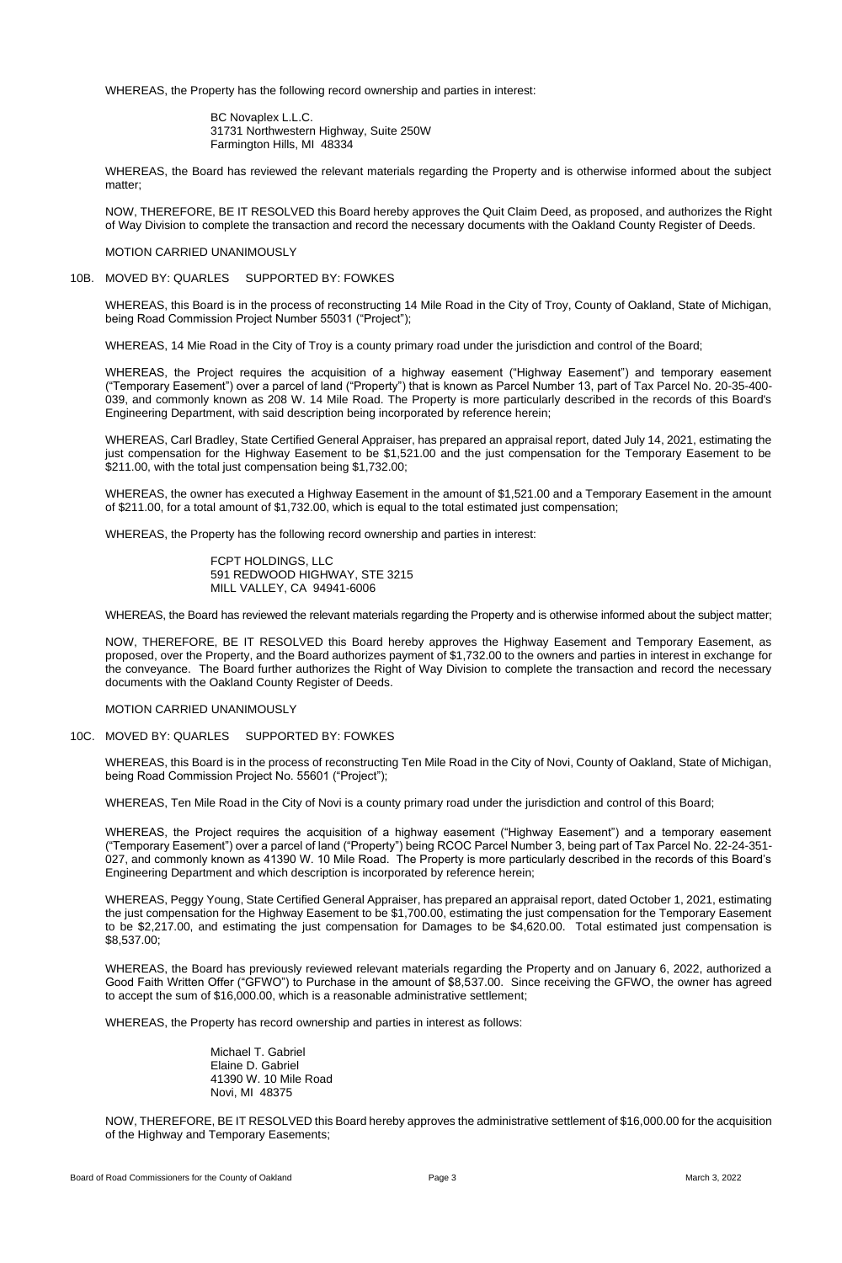WHEREAS, the Property has the following record ownership and parties in interest:

BC Novaplex L.L.C. 31731 Northwestern Highway, Suite 250W Farmington Hills, MI 48334

WHEREAS, the Board has reviewed the relevant materials regarding the Property and is otherwise informed about the subject matter;

NOW, THEREFORE, BE IT RESOLVED this Board hereby approves the Quit Claim Deed, as proposed, and authorizes the Right of Way Division to complete the transaction and record the necessary documents with the Oakland County Register of Deeds.

# MOTION CARRIED UNANIMOUSLY

# 10B. MOVED BY: QUARLES SUPPORTED BY: FOWKES

WHEREAS, this Board is in the process of reconstructing 14 Mile Road in the City of Troy, County of Oakland, State of Michigan, being Road Commission Project Number 55031 ("Project");

WHEREAS, 14 Mie Road in the City of Troy is a county primary road under the jurisdiction and control of the Board;

WHEREAS, the Project requires the acquisition of a highway easement ("Highway Easement") and temporary easement ("Temporary Easement") over a parcel of land ("Property") that is known as Parcel Number 13, part of Tax Parcel No. 20-35-400- 039, and commonly known as 208 W. 14 Mile Road. The Property is more particularly described in the records of this Board's Engineering Department, with said description being incorporated by reference herein;

WHEREAS, Carl Bradley, State Certified General Appraiser, has prepared an appraisal report, dated July 14, 2021, estimating the just compensation for the Highway Easement to be \$1,521.00 and the just compensation for the Temporary Easement to be \$211.00, with the total just compensation being \$1,732.00;

WHEREAS, the owner has executed a Highway Easement in the amount of \$1,521.00 and a Temporary Easement in the amount of \$211.00, for a total amount of \$1,732.00, which is equal to the total estimated just compensation;

WHEREAS, the Property has the following record ownership and parties in interest:

FCPT HOLDINGS, LLC 591 REDWOOD HIGHWAY, STE 3215 MILL VALLEY, CA 94941-6006

WHEREAS, the Board has reviewed the relevant materials regarding the Property and is otherwise informed about the subject matter;

NOW, THEREFORE, BE IT RESOLVED this Board hereby approves the Highway Easement and Temporary Easement, as proposed, over the Property, and the Board authorizes payment of \$1,732.00 to the owners and parties in interest in exchange for the conveyance. The Board further authorizes the Right of Way Division to complete the transaction and record the necessary documents with the Oakland County Register of Deeds.

## MOTION CARRIED UNANIMOUSLY

## 10C. MOVED BY: QUARLES SUPPORTED BY: FOWKES

WHEREAS, this Board is in the process of reconstructing Ten Mile Road in the City of Novi, County of Oakland, State of Michigan, being Road Commission Project No. 55601 ("Project");

WHEREAS, Ten Mile Road in the City of Novi is a county primary road under the jurisdiction and control of this Board;

WHEREAS, the Project requires the acquisition of a highway easement ("Highway Easement") and a temporary easement ("Temporary Easement") over a parcel of land ("Property") being RCOC Parcel Number 3, being part of Tax Parcel No. 22-24-351- 027, and commonly known as 41390 W. 10 Mile Road. The Property is more particularly described in the records of this Board's Engineering Department and which description is incorporated by reference herein;

WHEREAS, Peggy Young, State Certified General Appraiser, has prepared an appraisal report, dated October 1, 2021, estimating the just compensation for the Highway Easement to be \$1,700.00, estimating the just compensation for the Temporary Easement to be \$2,217.00, and estimating the just compensation for Damages to be \$4,620.00. Total estimated just compensation is \$8,537.00;

WHEREAS, the Board has previously reviewed relevant materials regarding the Property and on January 6, 2022, authorized a Good Faith Written Offer ("GFWO") to Purchase in the amount of \$8,537.00. Since receiving the GFWO, the owner has agreed to accept the sum of \$16,000.00, which is a reasonable administrative settlement;

WHEREAS, the Property has record ownership and parties in interest as follows:

Michael T. Gabriel Elaine D. Gabriel 41390 W. 10 Mile Road Novi, MI 48375

NOW, THEREFORE, BE IT RESOLVED this Board hereby approves the administrative settlement of \$16,000.00 for the acquisition of the Highway and Temporary Easements;

Board of Road Commissioners for the County of Oakland **Page 3** Page 3 March 3, 2022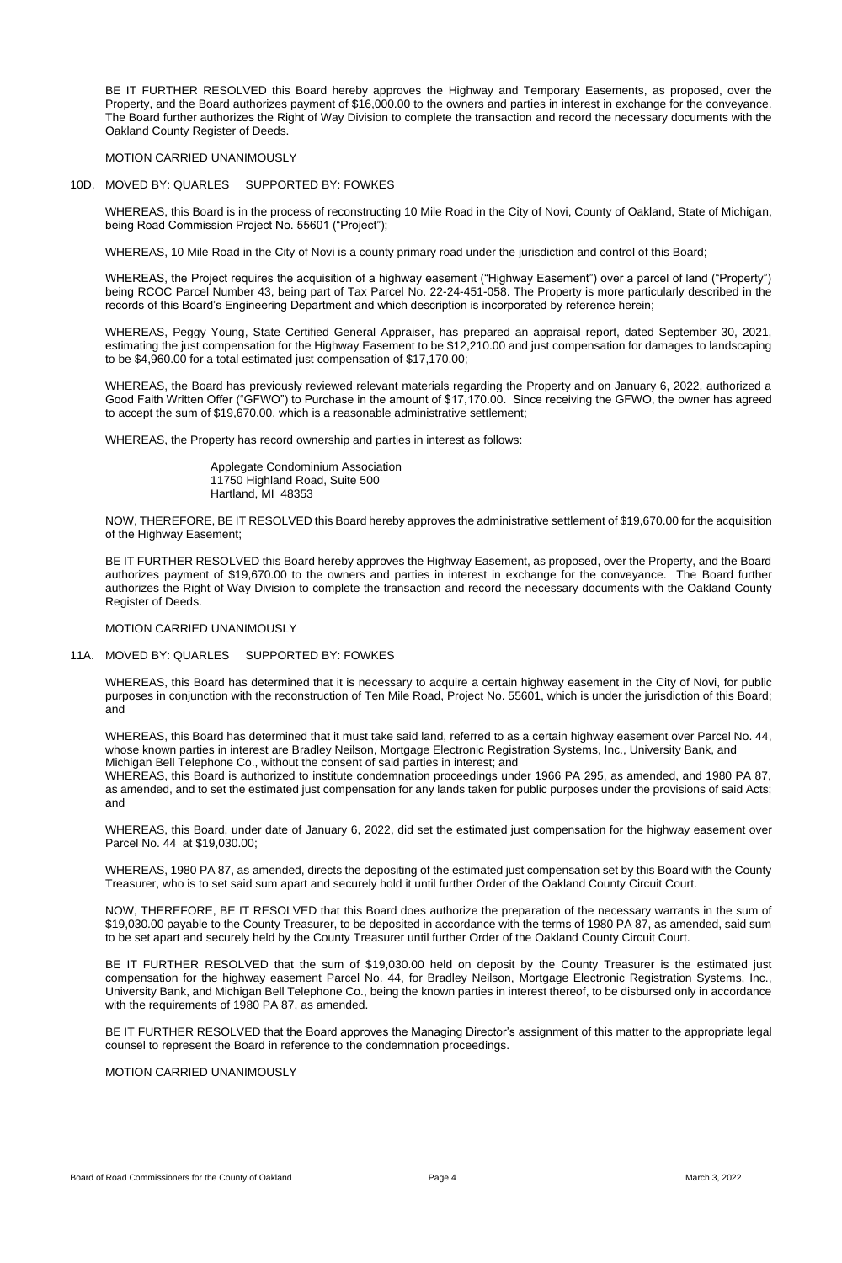BE IT FURTHER RESOLVED this Board hereby approves the Highway and Temporary Easements, as proposed, over the Property, and the Board authorizes payment of \$16,000.00 to the owners and parties in interest in exchange for the conveyance. The Board further authorizes the Right of Way Division to complete the transaction and record the necessary documents with the Oakland County Register of Deeds.

MOTION CARRIED UNANIMOUSLY

## 10D. MOVED BY: QUARLES SUPPORTED BY: FOWKES

WHEREAS, this Board is in the process of reconstructing 10 Mile Road in the City of Novi, County of Oakland, State of Michigan, being Road Commission Project No. 55601 ("Project");

WHEREAS, 10 Mile Road in the City of Novi is a county primary road under the jurisdiction and control of this Board;

WHEREAS, the Project requires the acquisition of a highway easement ("Highway Easement") over a parcel of land ("Property") being RCOC Parcel Number 43, being part of Tax Parcel No. 22-24-451-058. The Property is more particularly described in the records of this Board's Engineering Department and which description is incorporated by reference herein;

WHEREAS, Peggy Young, State Certified General Appraiser, has prepared an appraisal report, dated September 30, 2021, estimating the just compensation for the Highway Easement to be \$12,210.00 and just compensation for damages to landscaping to be \$4,960.00 for a total estimated just compensation of \$17,170.00;

WHEREAS, the Board has previously reviewed relevant materials regarding the Property and on January 6, 2022, authorized a Good Faith Written Offer ("GFWO") to Purchase in the amount of \$17,170.00. Since receiving the GFWO, the owner has agreed to accept the sum of \$19,670.00, which is a reasonable administrative settlement;

WHEREAS, the Property has record ownership and parties in interest as follows:

Applegate Condominium Association 11750 Highland Road, Suite 500 Hartland, MI 48353

NOW, THEREFORE, BE IT RESOLVED this Board hereby approves the administrative settlement of \$19,670.00 for the acquisition of the Highway Easement;

BE IT FURTHER RESOLVED this Board hereby approves the Highway Easement, as proposed, over the Property, and the Board authorizes payment of \$19,670.00 to the owners and parties in interest in exchange for the conveyance. The Board further authorizes the Right of Way Division to complete the transaction and record the necessary documents with the Oakland County Register of Deeds.

MOTION CARRIED UNANIMOUSLY

## 11A. MOVED BY: QUARLES SUPPORTED BY: FOWKES

WHEREAS, this Board has determined that it is necessary to acquire a certain highway easement in the City of Novi, for public purposes in conjunction with the reconstruction of Ten Mile Road, Project No. 55601, which is under the jurisdiction of this Board; and

WHEREAS, this Board has determined that it must take said land, referred to as a certain highway easement over Parcel No. 44, whose known parties in interest are Bradley Neilson, Mortgage Electronic Registration Systems, Inc., University Bank, and Michigan Bell Telephone Co., without the consent of said parties in interest; and

WHEREAS, this Board is authorized to institute condemnation proceedings under 1966 PA 295, as amended, and 1980 PA 87, as amended, and to set the estimated just compensation for any lands taken for public purposes under the provisions of said Acts; and

WHEREAS, this Board, under date of January 6, 2022, did set the estimated just compensation for the highway easement over Parcel No. 44 at \$19,030.00;

WHEREAS, 1980 PA 87, as amended, directs the depositing of the estimated just compensation set by this Board with the County

Treasurer, who is to set said sum apart and securely hold it until further Order of the Oakland County Circuit Court.

NOW, THEREFORE, BE IT RESOLVED that this Board does authorize the preparation of the necessary warrants in the sum of \$19,030.00 payable to the County Treasurer, to be deposited in accordance with the terms of 1980 PA 87, as amended, said sum to be set apart and securely held by the County Treasurer until further Order of the Oakland County Circuit Court.

BE IT FURTHER RESOLVED that the sum of \$19,030.00 held on deposit by the County Treasurer is the estimated just compensation for the highway easement Parcel No. 44, for Bradley Neilson, Mortgage Electronic Registration Systems, Inc., University Bank, and Michigan Bell Telephone Co., being the known parties in interest thereof, to be disbursed only in accordance with the requirements of 1980 PA 87, as amended.

BE IT FURTHER RESOLVED that the Board approves the Managing Director's assignment of this matter to the appropriate legal counsel to represent the Board in reference to the condemnation proceedings.

MOTION CARRIED UNANIMOUSLY

Board of Road Commissioners for the County of Oakland **Page 4** Page 4 March 3, 2022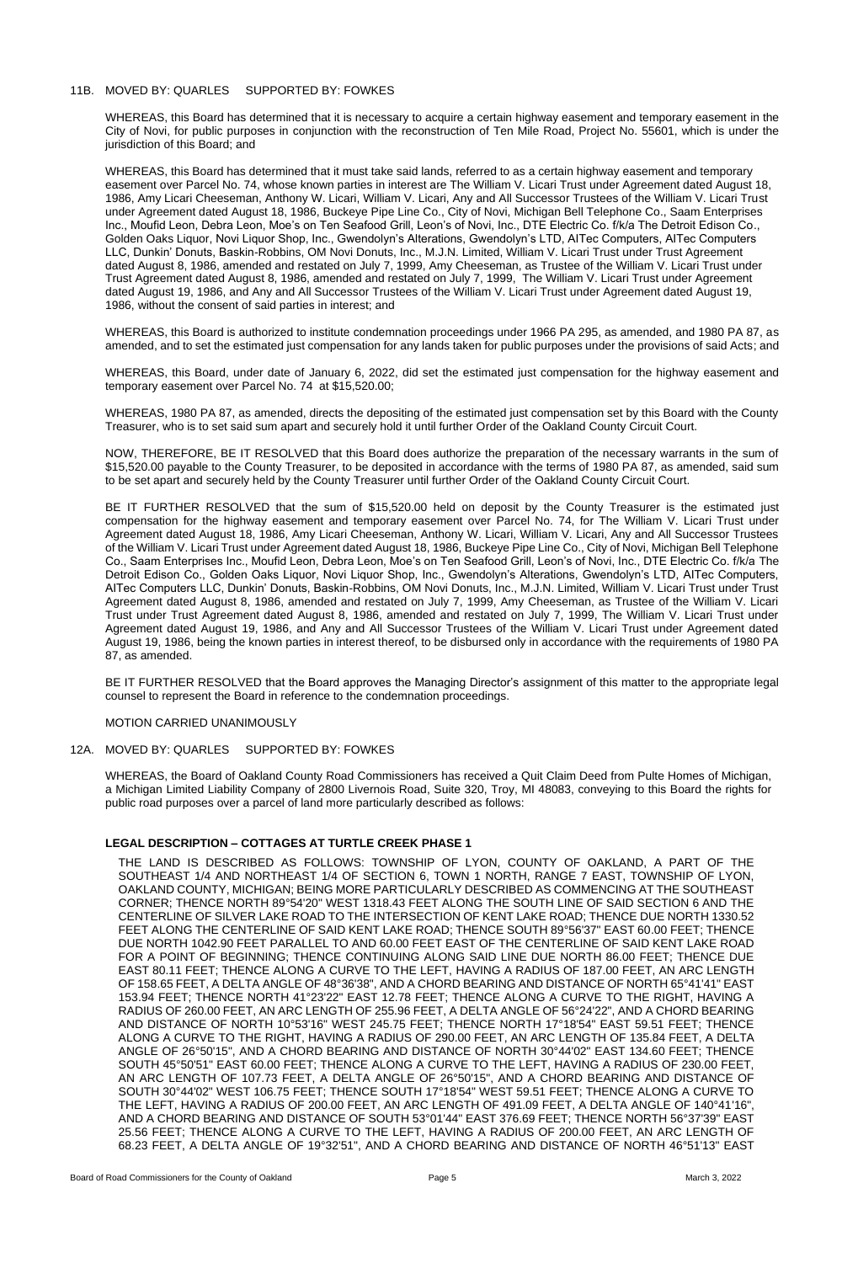# 11B. MOVED BY: QUARLES SUPPORTED BY: FOWKES

WHEREAS, this Board has determined that it is necessary to acquire a certain highway easement and temporary easement in the City of Novi, for public purposes in conjunction with the reconstruction of Ten Mile Road, Project No. 55601, which is under the jurisdiction of this Board; and

WHEREAS, this Board has determined that it must take said lands, referred to as a certain highway easement and temporary easement over Parcel No. 74, whose known parties in interest are The William V. Licari Trust under Agreement dated August 18, 1986, Amy Licari Cheeseman, Anthony W. Licari, William V. Licari, Any and All Successor Trustees of the William V. Licari Trust under Agreement dated August 18, 1986, Buckeye Pipe Line Co., City of Novi, Michigan Bell Telephone Co., Saam Enterprises Inc., Moufid Leon, Debra Leon, Moe's on Ten Seafood Grill, Leon's of Novi, Inc., DTE Electric Co. f/k/a The Detroit Edison Co., Golden Oaks Liquor, Novi Liquor Shop, Inc., Gwendolyn's Alterations, Gwendolyn's LTD, AITec Computers, AITec Computers LLC, Dunkin' Donuts, Baskin-Robbins, OM Novi Donuts, Inc., M.J.N. Limited, William V. Licari Trust under Trust Agreement dated August 8, 1986, amended and restated on July 7, 1999, Amy Cheeseman, as Trustee of the William V. Licari Trust under Trust Agreement dated August 8, 1986, amended and restated on July 7, 1999, The William V. Licari Trust under Agreement dated August 19, 1986, and Any and All Successor Trustees of the William V. Licari Trust under Agreement dated August 19, 1986, without the consent of said parties in interest; and

WHEREAS, this Board is authorized to institute condemnation proceedings under 1966 PA 295, as amended, and 1980 PA 87, as amended, and to set the estimated just compensation for any lands taken for public purposes under the provisions of said Acts; and

WHEREAS, this Board, under date of January 6, 2022, did set the estimated just compensation for the highway easement and temporary easement over Parcel No. 74 at \$15,520.00;

WHEREAS, 1980 PA 87, as amended, directs the depositing of the estimated just compensation set by this Board with the County Treasurer, who is to set said sum apart and securely hold it until further Order of the Oakland County Circuit Court.

NOW, THEREFORE, BE IT RESOLVED that this Board does authorize the preparation of the necessary warrants in the sum of \$15,520.00 payable to the County Treasurer, to be deposited in accordance with the terms of 1980 PA 87, as amended, said sum to be set apart and securely held by the County Treasurer until further Order of the Oakland County Circuit Court.

BE IT FURTHER RESOLVED that the sum of \$15,520.00 held on deposit by the County Treasurer is the estimated just compensation for the highway easement and temporary easement over Parcel No. 74, for The William V. Licari Trust under Agreement dated August 18, 1986, Amy Licari Cheeseman, Anthony W. Licari, William V. Licari, Any and All Successor Trustees of the William V. Licari Trust under Agreement dated August 18, 1986, Buckeye Pipe Line Co., City of Novi, Michigan Bell Telephone Co., Saam Enterprises Inc., Moufid Leon, Debra Leon, Moe's on Ten Seafood Grill, Leon's of Novi, Inc., DTE Electric Co. f/k/a The Detroit Edison Co., Golden Oaks Liquor, Novi Liquor Shop, Inc., Gwendolyn's Alterations, Gwendolyn's LTD, AITec Computers, AITec Computers LLC, Dunkin' Donuts, Baskin-Robbins, OM Novi Donuts, Inc., M.J.N. Limited, William V. Licari Trust under Trust Agreement dated August 8, 1986, amended and restated on July 7, 1999, Amy Cheeseman, as Trustee of the William V. Licari Trust under Trust Agreement dated August 8, 1986, amended and restated on July 7, 1999, The William V. Licari Trust under Agreement dated August 19, 1986, and Any and All Successor Trustees of the William V. Licari Trust under Agreement dated August 19, 1986, being the known parties in interest thereof, to be disbursed only in accordance with the requirements of 1980 PA 87, as amended.

BE IT FURTHER RESOLVED that the Board approves the Managing Director's assignment of this matter to the appropriate legal counsel to represent the Board in reference to the condemnation proceedings.

## MOTION CARRIED UNANIMOUSLY

## 12A. MOVED BY: QUARLES SUPPORTED BY: FOWKES

WHEREAS, the Board of Oakland County Road Commissioners has received a Quit Claim Deed from Pulte Homes of Michigan, a Michigan Limited Liability Company of 2800 Livernois Road, Suite 320, Troy, MI 48083, conveying to this Board the rights for public road purposes over a parcel of land more particularly described as follows:

# **LEGAL DESCRIPTION – COTTAGES AT TURTLE CREEK PHASE 1**

THE LAND IS DESCRIBED AS FOLLOWS: TOWNSHIP OF LYON, COUNTY OF OAKLAND, A PART OF THE SOUTHEAST 1/4 AND NORTHEAST 1/4 OF SECTION 6, TOWN 1 NORTH, RANGE 7 EAST, TOWNSHIP OF LYON, OAKLAND COUNTY, MICHIGAN; BEING MORE PARTICULARLY DESCRIBED AS COMMENCING AT THE SOUTHEAST CORNER; THENCE NORTH 89°54'20" WEST 1318.43 FEET ALONG THE SOUTH LINE OF SAID SECTION 6 AND THE CENTERLINE OF SILVER LAKE ROAD TO THE INTERSECTION OF KENT LAKE ROAD; THENCE DUE NORTH 1330.52 FEET ALONG THE CENTERLINE OF SAID KENT LAKE ROAD; THENCE SOUTH 89°56'37" EAST 60.00 FEET; THENCE DUE NORTH 1042.90 FEET PARALLEL TO AND 60.00 FEET EAST OF THE CENTERLINE OF SAID KENT LAKE ROAD FOR A POINT OF BEGINNING; THENCE CONTINUING ALONG SAID LINE DUE NORTH 86.00 FEET; THENCE DUE EAST 80.11 FEET; THENCE ALONG A CURVE TO THE LEFT, HAVING A RADIUS OF 187.00 FEET, AN ARC LENGTH OF 158.65 FEET, A DELTA ANGLE OF 48°36'38", AND A CHORD BEARING AND DISTANCE OF NORTH 65°41'41" EAST 153.94 FEET; THENCE NORTH 41°23'22" EAST 12.78 FEET; THENCE ALONG A CURVE TO THE RIGHT, HAVING A RADIUS OF 260.00 FEET, AN ARC LENGTH OF 255.96 FEET, A DELTA ANGLE OF 56°24'22", AND A CHORD BEARING AND DISTANCE OF NORTH 10°53'16" WEST 245.75 FEET; THENCE NORTH 17°18'54" EAST 59.51 FEET; THENCE ALONG A CURVE TO THE RIGHT, HAVING A RADIUS OF 290.00 FEET, AN ARC LENGTH OF 135.84 FEET, A DELTA ANGLE OF 26°50'15", AND A CHORD BEARING AND DISTANCE OF NORTH 30°44'02" EAST 134.60 FEET; THENCE SOUTH 45°50'51" EAST 60.00 FEET; THENCE ALONG A CURVE TO THE LEFT, HAVING A RADIUS OF 230.00 FEET, AN ARC LENGTH OF 107.73 FEET, A DELTA ANGLE OF 26°50'15", AND A CHORD BEARING AND DISTANCE OF SOUTH 30°44'02" WEST 106.75 FEET; THENCE SOUTH 17°18'54" WEST 59.51 FEET; THENCE ALONG A CURVE TO THE LEFT, HAVING A RADIUS OF 200.00 FEET, AN ARC LENGTH OF 491.09 FEET, A DELTA ANGLE OF 140°41'16", AND A CHORD BEARING AND DISTANCE OF SOUTH 53°01'44" EAST 376.69 FEET; THENCE NORTH 56°37'39" EAST 25.56 FEET; THENCE ALONG A CURVE TO THE LEFT, HAVING A RADIUS OF 200.00 FEET, AN ARC LENGTH OF 68.23 FEET, A DELTA ANGLE OF 19°32'51", AND A CHORD BEARING AND DISTANCE OF NORTH 46°51'13" EAST

Board of Road Commissioners for the County of Oakland **Page 5** Page 5 March 3, 2022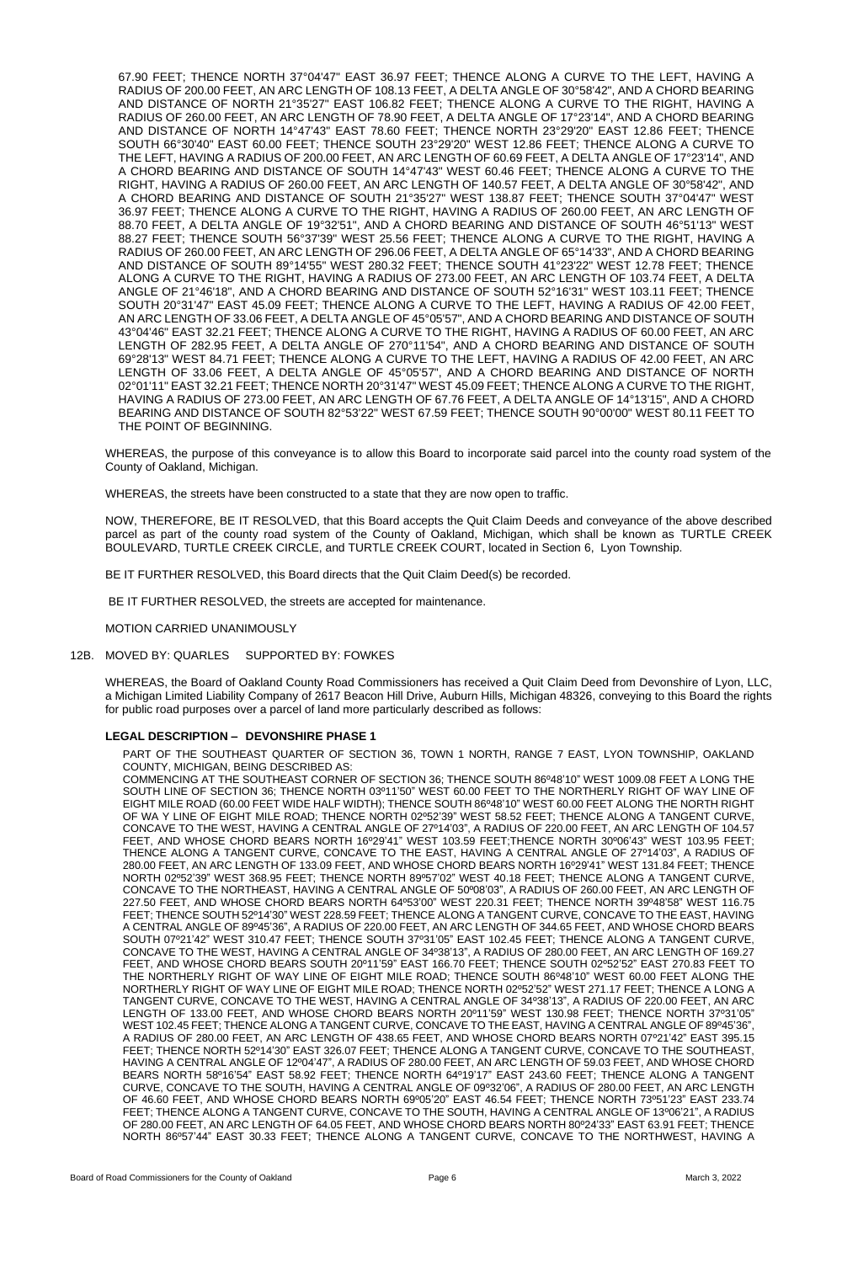67.90 FEET; THENCE NORTH 37°04'47" EAST 36.97 FEET; THENCE ALONG A CURVE TO THE LEFT, HAVING A RADIUS OF 200.00 FEET, AN ARC LENGTH OF 108.13 FEET, A DELTA ANGLE OF 30°58'42", AND A CHORD BEARING AND DISTANCE OF NORTH 21°35'27" EAST 106.82 FEET; THENCE ALONG A CURVE TO THE RIGHT, HAVING A RADIUS OF 260.00 FEET, AN ARC LENGTH OF 78.90 FEET, A DELTA ANGLE OF 17°23'14", AND A CHORD BEARING AND DISTANCE OF NORTH 14°47'43" EAST 78.60 FEET; THENCE NORTH 23°29'20" EAST 12.86 FEET; THENCE SOUTH 66°30'40" EAST 60.00 FEET; THENCE SOUTH 23°29'20" WEST 12.86 FEET; THENCE ALONG A CURVE TO THE LEFT, HAVING A RADIUS OF 200.00 FEET, AN ARC LENGTH OF 60.69 FEET, A DELTA ANGLE OF 17°23'14", AND A CHORD BEARING AND DISTANCE OF SOUTH 14°47'43" WEST 60.46 FEET; THENCE ALONG A CURVE TO THE RIGHT, HAVING A RADIUS OF 260.00 FEET, AN ARC LENGTH OF 140.57 FEET, A DELTA ANGLE OF 30°58'42", AND A CHORD BEARING AND DISTANCE OF SOUTH 21°35'27" WEST 138.87 FEET; THENCE SOUTH 37°04'47" WEST 36.97 FEET; THENCE ALONG A CURVE TO THE RIGHT, HAVING A RADIUS OF 260.00 FEET, AN ARC LENGTH OF 88.70 FEET, A DELTA ANGLE OF 19°32'51", AND A CHORD BEARING AND DISTANCE OF SOUTH 46°51'13" WEST 88.27 FEET; THENCE SOUTH 56°37'39" WEST 25.56 FEET; THENCE ALONG A CURVE TO THE RIGHT, HAVING A RADIUS OF 260.00 FEET, AN ARC LENGTH OF 296.06 FEET, A DELTA ANGLE OF 65°14'33", AND A CHORD BEARING AND DISTANCE OF SOUTH 89°14'55" WEST 280.32 FEET; THENCE SOUTH 41°23'22" WEST 12.78 FEET; THENCE ALONG A CURVE TO THE RIGHT, HAVING A RADIUS OF 273.00 FEET, AN ARC LENGTH OF 103.74 FEET, A DELTA ANGLE OF 21°46'18", AND A CHORD BEARING AND DISTANCE OF SOUTH 52°16'31" WEST 103.11 FEET; THENCE SOUTH 20°31'47" EAST 45.09 FEET; THENCE ALONG A CURVE TO THE LEFT, HAVING A RADIUS OF 42.00 FEET, AN ARC LENGTH OF 33.06 FEET, A DELTA ANGLE OF 45°05'57", AND A CHORD BEARING AND DISTANCE OF SOUTH 43°04'46" EAST 32.21 FEET; THENCE ALONG A CURVE TO THE RIGHT, HAVING A RADIUS OF 60.00 FEET, AN ARC LENGTH OF 282.95 FEET, A DELTA ANGLE OF 270°11'54", AND A CHORD BEARING AND DISTANCE OF SOUTH 69°28'13" WEST 84.71 FEET; THENCE ALONG A CURVE TO THE LEFT, HAVING A RADIUS OF 42.00 FEET, AN ARC LENGTH OF 33.06 FEET, A DELTA ANGLE OF 45°05'57", AND A CHORD BEARING AND DISTANCE OF NORTH 02°01'11" EAST 32.21 FEET; THENCE NORTH 20°31'47" WEST 45.09 FEET; THENCE ALONG A CURVE TO THE RIGHT, HAVING A RADIUS OF 273.00 FEET, AN ARC LENGTH OF 67.76 FEET, A DELTA ANGLE OF 14°13'15", AND A CHORD BEARING AND DISTANCE OF SOUTH 82°53'22" WEST 67.59 FEET; THENCE SOUTH 90°00'00" WEST 80.11 FEET TO THE POINT OF BEGINNING.

WHEREAS, the purpose of this conveyance is to allow this Board to incorporate said parcel into the county road system of the County of Oakland, Michigan.

WHEREAS, the streets have been constructed to a state that they are now open to traffic.

NOW, THEREFORE, BE IT RESOLVED, that this Board accepts the Quit Claim Deeds and conveyance of the above described parcel as part of the county road system of the County of Oakland, Michigan, which shall be known as TURTLE CREEK BOULEVARD, TURTLE CREEK CIRCLE, and TURTLE CREEK COURT, located in Section 6, Lyon Township.

BE IT FURTHER RESOLVED, this Board directs that the Quit Claim Deed(s) be recorded.

BE IT FURTHER RESOLVED, the streets are accepted for maintenance.

MOTION CARRIED UNANIMOUSLY

## 12B. MOVED BY: QUARLES SUPPORTED BY: FOWKES

WHEREAS, the Board of Oakland County Road Commissioners has received a Quit Claim Deed from Devonshire of Lyon, LLC, a Michigan Limited Liability Company of 2617 Beacon Hill Drive, Auburn Hills, Michigan 48326, conveying to this Board the rights for public road purposes over a parcel of land more particularly described as follows:

## **LEGAL DESCRIPTION – DEVONSHIRE PHASE 1**

PART OF THE SOUTHEAST QUARTER OF SECTION 36, TOWN 1 NORTH, RANGE 7 EAST, LYON TOWNSHIP, OAKLAND COUNTY, MICHIGAN, BEING DESCRIBED AS:

COMMENCING AT THE SOUTHEAST CORNER OF SECTION 36; THENCE SOUTH 86º48'10" WEST 1009.08 FEET A LONG THE SOUTH LINE OF SECTION 36; THENCE NORTH 03º11'50" WEST 60.00 FEET TO THE NORTHERLY RIGHT OF WAY LINE OF EIGHT MILE ROAD (60.00 FEET WIDE HALF WIDTH); THENCE SOUTH 86º48'10" WEST 60.00 FEET ALONG THE NORTH RIGHT OF WA Y LINE OF EIGHT MILE ROAD; THENCE NORTH 02º52'39" WEST 58.52 FEET; THENCE ALONG A TANGENT CURVE, CONCAVE TO THE WEST, HAVING A CENTRAL ANGLE OF 27º14'03", A RADIUS OF 220.00 FEET, AN ARC LENGTH OF 104.57 FEET, AND WHOSE CHORD BEARS NORTH 16º29'41" WEST 103.59 FEET;THENCE NORTH 30º06'43" WEST 103.95 FEET; THENCE ALONG A TANGENT CURVE, CONCAVE TO THE EAST, HAVING A CENTRAL ANGLE OF 27º14'03", A RADIUS OF 280.00 FEET, AN ARC LENGTH OF 133.09 FEET, AND WHOSE CHORD BEARS NORTH 16º29'41" WEST 131.84 FEET; THENCE NORTH 02º52'39" WEST 368.95 FEET; THENCE NORTH 89º57'02" WEST 40.18 FEET; THENCE ALONG A TANGENT CURVE, CONCAVE TO THE NORTHEAST, HAVING A CENTRAL ANGLE OF 50º08'03", A RADIUS OF 260.00 FEET, AN ARC LENGTH OF 227.50 FEET, AND WHOSE CHORD BEARS NORTH 64º53'00" WEST 220.31 FEET; THENCE NORTH 39º48'58" WEST 116.75 FEET; THENCE SOUTH 52º14'30" WEST 228.59 FEET; THENCE ALONG A TANGENT CURVE, CONCAVE TO THE EAST, HAVING A CENTRAL ANGLE OF 89º45'36", A RADIUS OF 220.00 FEET, AN ARC LENGTH OF 344.65 FEET, AND WHOSE CHORD BEARS SOUTH 07º21'42" WEST 310.47 FEET; THENCE SOUTH 37º31'05" EAST 102.45 FEET; THENCE ALONG A TANGENT CURVE, CONCAVE TO THE WEST, HAVING A CENTRAL ANGLE OF 34º38'13", A RADIUS OF 280.00 FEET, AN ARC LENGTH OF 169.27 FEET, AND WHOSE CHORD BEARS SOUTH 20º11'59" EAST 166.70 FEET; THENCE SOUTH 02º52'52" EAST 270.83 FEET TO THE NORTHERLY RIGHT OF WAY LINE OF EIGHT MILE ROAD; THENCE SOUTH 86º48'10" WEST 60.00 FEET ALONG THE NORTHERLY RIGHT OF WAY LINE OF EIGHT MILE ROAD; THENCE NORTH 02º52'52" WEST 271.17 FEET; THENCE A LONG A TANGENT CURVE, CONCAVE TO THE WEST, HAVING A CENTRAL ANGLE OF 34º38'13", A RADIUS OF 220.00 FEET, AN ARC LENGTH OF 133.00 FEET, AND WHOSE CHORD BEARS NORTH 20º11'59" WEST 130.98 FEET; THENCE NORTH 37º31'05" WEST 102.45 FEET; THENCE ALONG A TANGENT CURVE, CONCAVE TO THE EAST, HAVING A CENTRAL ANGLE OF 89º45'36", A RADIUS OF 280.00 FEET, AN ARC LENGTH OF 438.65 FEET, AND WHOSE CHORD BEARS NORTH 07º21'42" EAST 395.15 FEET; THENCE NORTH 52º14'30" EAST 326.07 FEET; THENCE ALONG A TANGENT CURVE, CONCAVE TO THE SOUTHEAST, HAVING A CENTRAL ANGLE OF 12º04'47", A RADIUS OF 280.00 FEET, AN ARC LENGTH OF 59.03 FEET, AND WHOSE CHORD BEARS NORTH 58º16'54" EAST 58.92 FEET; THENCE NORTH 64º19'17" EAST 243.60 FEET; THENCE ALONG A TANGENT CURVE, CONCAVE TO THE SOUTH, HAVING A CENTRAL ANGLE OF 09º32'06", A RADIUS OF 280.00 FEET, AN ARC LENGTH OF 46.60 FEET, AND WHOSE CHORD BEARS NORTH 69º05'20" EAST 46.54 FEET; THENCE NORTH 73º51'23" EAST 233.74 FEET; THENCE ALONG A TANGENT CURVE, CONCAVE TO THE SOUTH, HAVING A CENTRAL ANGLE OF 13º06'21", A RADIUS OF 280.00 FEET, AN ARC LENGTH OF 64.05 FEET, AND WHOSE CHORD BEARS NORTH 80º24'33" EAST 63.91 FEET; THENCE NORTH 86º57'44" EAST 30.33 FEET; THENCE ALONG A TANGENT CURVE, CONCAVE TO THE NORTHWEST, HAVING A

Board of Road Commissioners for the County of Oakland **Page 6** Page 6 March 3, 2022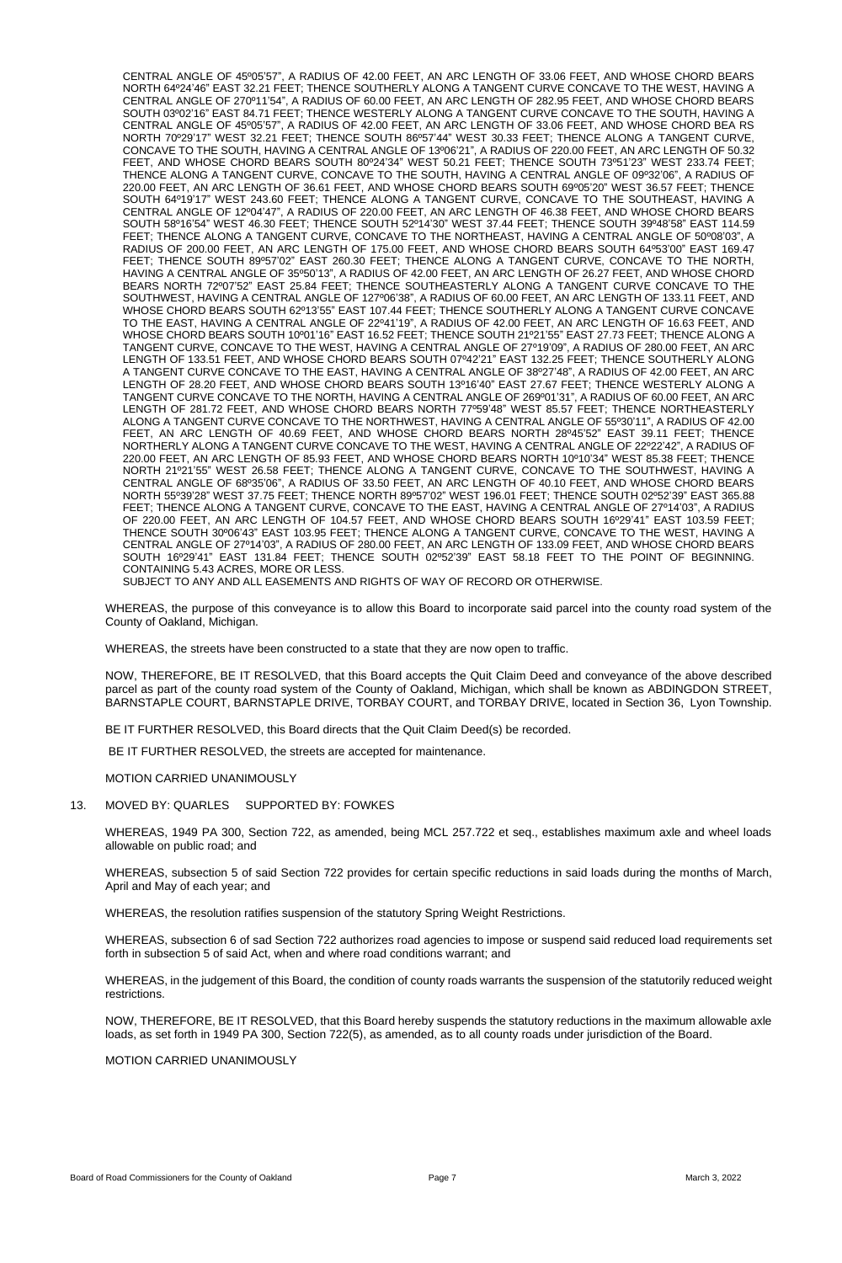CENTRAL ANGLE OF 45º05'57", A RADIUS OF 42.00 FEET, AN ARC LENGTH OF 33.06 FEET, AND WHOSE CHORD BEARS NORTH 64º24'46" EAST 32.21 FEET; THENCE SOUTHERLY ALONG A TANGENT CURVE CONCAVE TO THE WEST, HAVING A CENTRAL ANGLE OF 270º11'54", A RADIUS OF 60.00 FEET, AN ARC LENGTH OF 282.95 FEET, AND WHOSE CHORD BEARS SOUTH 03º02'16" EAST 84.71 FEET; THENCE WESTERLY ALONG A TANGENT CURVE CONCAVE TO THE SOUTH, HAVING A CENTRAL ANGLE OF 45º05'57", A RADIUS OF 42.00 FEET, AN ARC LENGTH OF 33.06 FEET, AND WHOSE CHORD BEA RS NORTH 70º29'17" WEST 32.21 FEET; THENCE SOUTH 86º57'44" WEST 30.33 FEET; THENCE ALONG A TANGENT CURVE, CONCAVE TO THE SOUTH, HAVING A CENTRAL ANGLE OF 13º06'21", A RADIUS OF 220.00 FEET, AN ARC LENGTH OF 50.32 FEET, AND WHOSE CHORD BEARS SOUTH 80º24'34" WEST 50.21 FEET; THENCE SOUTH 73º51'23" WEST 233.74 FEET; THENCE ALONG A TANGENT CURVE, CONCAVE TO THE SOUTH, HAVING A CENTRAL ANGLE OF 09º32'06", A RADIUS OF 220.00 FEET, AN ARC LENGTH OF 36.61 FEET, AND WHOSE CHORD BEARS SOUTH 69º05'20" WEST 36.57 FEET; THENCE SOUTH 64º19'17" WEST 243.60 FEET; THENCE ALONG A TANGENT CURVE, CONCAVE TO THE SOUTHEAST, HAVING A CENTRAL ANGLE OF 12º04'47", A RADIUS OF 220.00 FEET, AN ARC LENGTH OF 46.38 FEET, AND WHOSE CHORD BEARS SOUTH 58º16'54" WEST 46.30 FEET; THENCE SOUTH 52º14'30" WEST 37.44 FEET; THENCE SOUTH 39º48'58" EAST 114.59 FEET; THENCE ALONG A TANGENT CURVE, CONCAVE TO THE NORTHEAST, HAVING A CENTRAL ANGLE OF 50º08'03", A RADIUS OF 200.00 FEET, AN ARC LENGTH OF 175.00 FEET, AND WHOSE CHORD BEARS SOUTH 64º53'00" EAST 169.47 FEET; THENCE SOUTH 89º57'02" EAST 260.30 FEET; THENCE ALONG A TANGENT CURVE, CONCAVE TO THE NORTH, HAVING A CENTRAL ANGLE OF 35º50'13", A RADIUS OF 42.00 FEET, AN ARC LENGTH OF 26.27 FEET, AND WHOSE CHORD BEARS NORTH 72º07'52" EAST 25.84 FEET; THENCE SOUTHEASTERLY ALONG A TANGENT CURVE CONCAVE TO THE SOUTHWEST, HAVING A CENTRAL ANGLE OF 127º06'38", A RADIUS OF 60.00 FEET, AN ARC LENGTH OF 133.11 FEET, AND WHOSE CHORD BEARS SOUTH 62º13'55" EAST 107.44 FEET; THENCE SOUTHERLY ALONG A TANGENT CURVE CONCAVE TO THE EAST, HAVING A CENTRAL ANGLE OF 22º41'19", A RADIUS OF 42.00 FEET, AN ARC LENGTH OF 16.63 FEET, AND WHOSE CHORD BEARS SOUTH 10º01'16" EAST 16.52 FEET; THENCE SOUTH 21º21'55" EAST 27.73 FEET; THENCE ALONG A TANGENT CURVE, CONCAVE TO THE WEST, HAVING A CENTRAL ANGLE OF 27º19'09", A RADIUS OF 280.00 FEET, AN ARC LENGTH OF 133.51 FEET, AND WHOSE CHORD BEARS SOUTH 07º42'21" EAST 132.25 FEET; THENCE SOUTHERLY ALONG A TANGENT CURVE CONCAVE TO THE EAST, HAVING A CENTRAL ANGLE OF 38º27'48", A RADIUS OF 42.00 FEET, AN ARC LENGTH OF 28.20 FEET, AND WHOSE CHORD BEARS SOUTH 13º16'40" EAST 27.67 FEET; THENCE WESTERLY ALONG A TANGENT CURVE CONCAVE TO THE NORTH, HAVING A CENTRAL ANGLE OF 269º01'31", A RADIUS OF 60.00 FEET, AN ARC LENGTH OF 281.72 FEET, AND WHOSE CHORD BEARS NORTH 77º59'48" WEST 85.57 FEET; THENCE NORTHEASTERLY ALONG A TANGENT CURVE CONCAVE TO THE NORTHWEST, HAVING A CENTRAL ANGLE OF 55º30'11", A RADIUS OF 42.00 FEET, AN ARC LENGTH OF 40.69 FEET, AND WHOSE CHORD BEARS NORTH 28º45'52" EAST 39.11 FEET; THENCE NORTHERLY ALONG A TANGENT CURVE CONCAVE TO THE WEST, HAVING A CENTRAL ANGLE OF 22º22'42", A RADIUS OF 220.00 FEET, AN ARC LENGTH OF 85.93 FEET, AND WHOSE CHORD BEARS NORTH 10º10'34" WEST 85.38 FEET; THENCE NORTH 21º21'55" WEST 26.58 FEET; THENCE ALONG A TANGENT CURVE, CONCAVE TO THE SOUTHWEST, HAVING A CENTRAL ANGLE OF 68º35'06", A RADIUS OF 33.50 FEET, AN ARC LENGTH OF 40.10 FEET, AND WHOSE CHORD BEARS NORTH 55º39'28" WEST 37.75 FEET; THENCE NORTH 89º57'02" WEST 196.01 FEET; THENCE SOUTH 02º52'39" EAST 365.88 FEET; THENCE ALONG A TANGENT CURVE, CONCAVE TO THE EAST, HAVING A CENTRAL ANGLE OF 27º14'03", A RADIUS OF 220.00 FEET, AN ARC LENGTH OF 104.57 FEET, AND WHOSE CHORD BEARS SOUTH 16º29'41" EAST 103.59 FEET; THENCE SOUTH 30º06'43" EAST 103.95 FEET; THENCE ALONG A TANGENT CURVE, CONCAVE TO THE WEST, HAVING A CENTRAL ANGLE OF 27º14'03", A RADIUS OF 280.00 FEET, AN ARC LENGTH OF 133.09 FEET, AND WHOSE CHORD BEARS SOUTH 16º29'41" EAST 131.84 FEET; THENCE SOUTH 02º52'39" EAST 58.18 FEET TO THE POINT OF BEGINNING. CONTAINING 5.43 ACRES, MORE OR LESS.

SUBJECT TO ANY AND ALL EASEMENTS AND RIGHTS OF WAY OF RECORD OR OTHERWISE.

WHEREAS, the purpose of this conveyance is to allow this Board to incorporate said parcel into the county road system of the County of Oakland, Michigan.

WHEREAS, the streets have been constructed to a state that they are now open to traffic.

NOW, THEREFORE, BE IT RESOLVED, that this Board accepts the Quit Claim Deed and conveyance of the above described parcel as part of the county road system of the County of Oakland, Michigan, which shall be known as ABDINGDON STREET, BARNSTAPLE COURT, BARNSTAPLE DRIVE, TORBAY COURT, and TORBAY DRIVE, located in Section 36, Lyon Township.

BE IT FURTHER RESOLVED, this Board directs that the Quit Claim Deed(s) be recorded.

BE IT FURTHER RESOLVED, the streets are accepted for maintenance.

MOTION CARRIED UNANIMOUSLY

13. MOVED BY: QUARLES SUPPORTED BY: FOWKES

WHEREAS, 1949 PA 300, Section 722, as amended, being MCL 257.722 et seq., establishes maximum axle and wheel loads allowable on public road; and

WHEREAS, subsection 5 of said Section 722 provides for certain specific reductions in said loads during the months of March,

April and May of each year; and

WHEREAS, the resolution ratifies suspension of the statutory Spring Weight Restrictions.

WHEREAS, subsection 6 of sad Section 722 authorizes road agencies to impose or suspend said reduced load requirements set forth in subsection 5 of said Act, when and where road conditions warrant; and

WHEREAS, in the judgement of this Board, the condition of county roads warrants the suspension of the statutorily reduced weight restrictions.

NOW, THEREFORE, BE IT RESOLVED, that this Board hereby suspends the statutory reductions in the maximum allowable axle loads, as set forth in 1949 PA 300, Section 722(5), as amended, as to all county roads under jurisdiction of the Board.

MOTION CARRIED UNANIMOUSLY

Board of Road Commissioners for the County of Oakland **Page 7** Page 7 March 3, 2022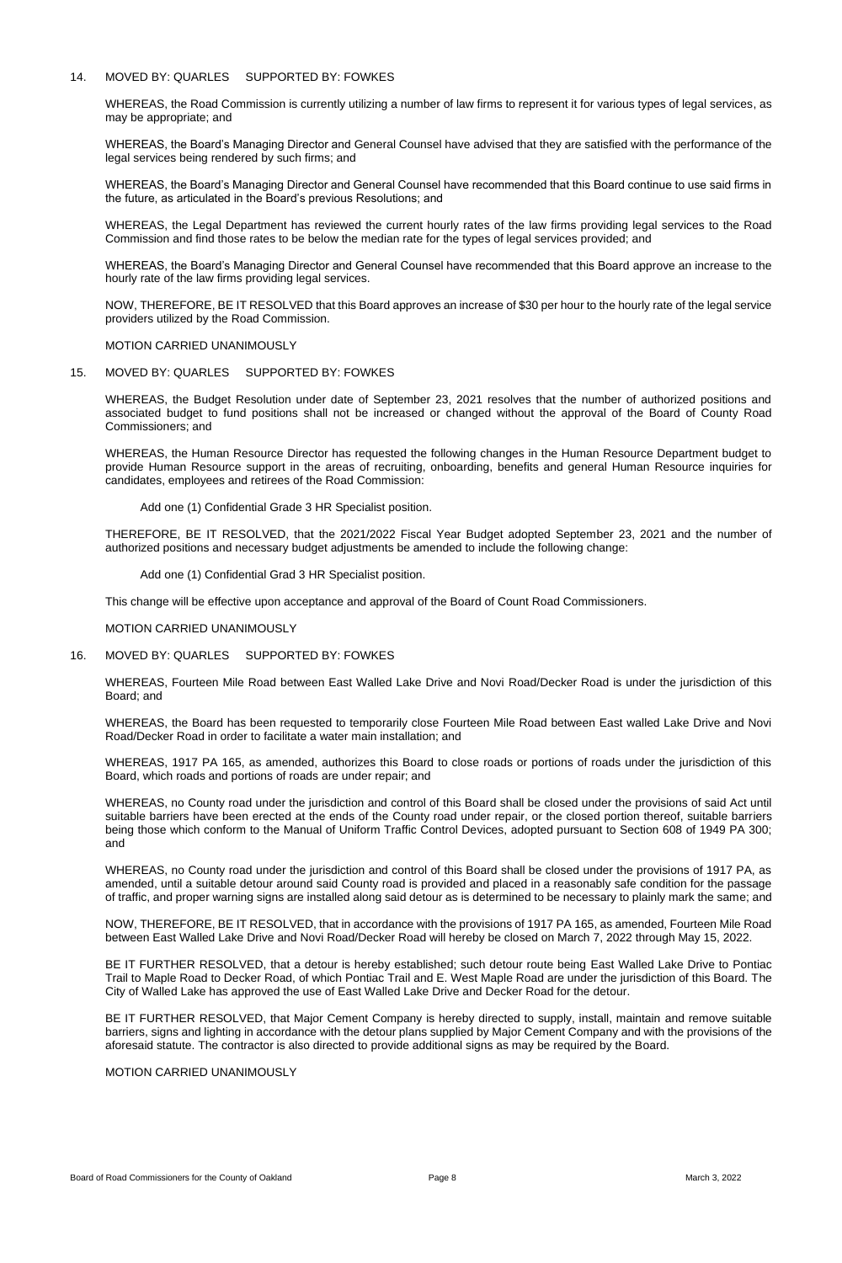# 14. MOVED BY: QUARLES SUPPORTED BY: FOWKES

WHEREAS, the Road Commission is currently utilizing a number of law firms to represent it for various types of legal services, as may be appropriate; and

WHEREAS, the Board's Managing Director and General Counsel have advised that they are satisfied with the performance of the legal services being rendered by such firms; and

WHEREAS, the Board's Managing Director and General Counsel have recommended that this Board continue to use said firms in the future, as articulated in the Board's previous Resolutions; and

WHEREAS, the Legal Department has reviewed the current hourly rates of the law firms providing legal services to the Road Commission and find those rates to be below the median rate for the types of legal services provided; and

WHEREAS, the Board's Managing Director and General Counsel have recommended that this Board approve an increase to the hourly rate of the law firms providing legal services.

NOW, THEREFORE, BE IT RESOLVED that this Board approves an increase of \$30 per hour to the hourly rate of the legal service providers utilized by the Road Commission.

MOTION CARRIED UNANIMOUSLY

15. MOVED BY: QUARLES SUPPORTED BY: FOWKES

WHEREAS, the Budget Resolution under date of September 23, 2021 resolves that the number of authorized positions and associated budget to fund positions shall not be increased or changed without the approval of the Board of County Road Commissioners; and

WHEREAS, the Human Resource Director has requested the following changes in the Human Resource Department budget to provide Human Resource support in the areas of recruiting, onboarding, benefits and general Human Resource inquiries for candidates, employees and retirees of the Road Commission:

Add one (1) Confidential Grade 3 HR Specialist position.

THEREFORE, BE IT RESOLVED, that the 2021/2022 Fiscal Year Budget adopted September 23, 2021 and the number of authorized positions and necessary budget adjustments be amended to include the following change:

Add one (1) Confidential Grad 3 HR Specialist position.

This change will be effective upon acceptance and approval of the Board of Count Road Commissioners.

MOTION CARRIED UNANIMOUSLY

#### 16. MOVED BY: QUARLES SUPPORTED BY: FOWKES

WHEREAS, Fourteen Mile Road between East Walled Lake Drive and Novi Road/Decker Road is under the jurisdiction of this Board; and

WHEREAS, the Board has been requested to temporarily close Fourteen Mile Road between East walled Lake Drive and Novi Road/Decker Road in order to facilitate a water main installation; and

WHEREAS, 1917 PA 165, as amended, authorizes this Board to close roads or portions of roads under the jurisdiction of this Board, which roads and portions of roads are under repair; and

WHEREAS, no County road under the jurisdiction and control of this Board shall be closed under the provisions of said Act until suitable barriers have been erected at the ends of the County road under repair, or the closed portion thereof, suitable barriers being those which conform to the Manual of Uniform Traffic Control Devices, adopted pursuant to Section 608 of 1949 PA 300; and

WHEREAS, no County road under the jurisdiction and control of this Board shall be closed under the provisions of 1917 PA, as

amended, until a suitable detour around said County road is provided and placed in a reasonably safe condition for the passage of traffic, and proper warning signs are installed along said detour as is determined to be necessary to plainly mark the same; and

NOW, THEREFORE, BE IT RESOLVED, that in accordance with the provisions of 1917 PA 165, as amended, Fourteen Mile Road between East Walled Lake Drive and Novi Road/Decker Road will hereby be closed on March 7, 2022 through May 15, 2022.

BE IT FURTHER RESOLVED, that a detour is hereby established; such detour route being East Walled Lake Drive to Pontiac Trail to Maple Road to Decker Road, of which Pontiac Trail and E. West Maple Road are under the jurisdiction of this Board. The City of Walled Lake has approved the use of East Walled Lake Drive and Decker Road for the detour.

BE IT FURTHER RESOLVED, that Major Cement Company is hereby directed to supply, install, maintain and remove suitable barriers, signs and lighting in accordance with the detour plans supplied by Major Cement Company and with the provisions of the aforesaid statute. The contractor is also directed to provide additional signs as may be required by the Board.

MOTION CARRIED UNANIMOUSLY

Board of Road Commissioners for the County of Oakland **Page 8** Page 8 March 3, 2022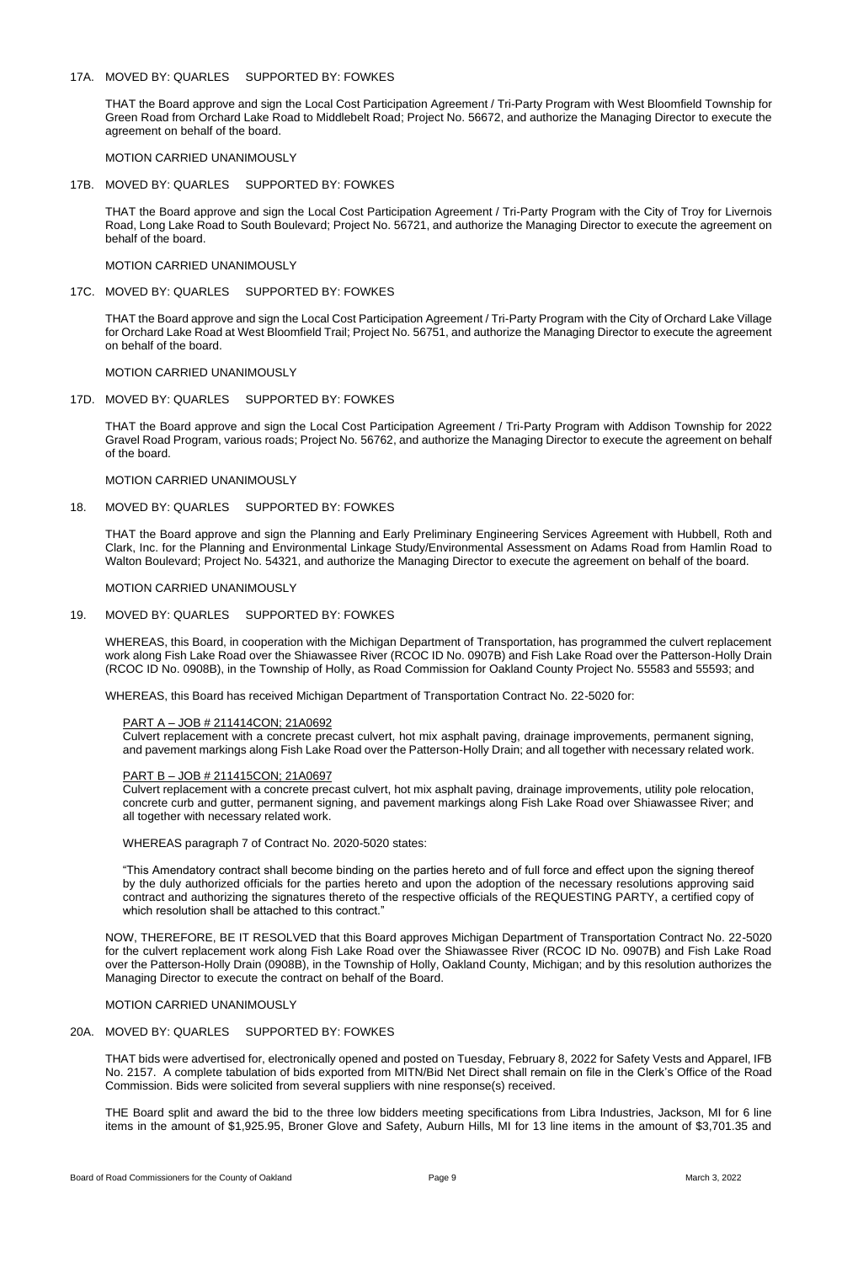# 17A. MOVED BY: QUARLES SUPPORTED BY: FOWKES

THAT the Board approve and sign the Local Cost Participation Agreement / Tri-Party Program with West Bloomfield Township for Green Road from Orchard Lake Road to Middlebelt Road; Project No. 56672, and authorize the Managing Director to execute the agreement on behalf of the board.

MOTION CARRIED UNANIMOUSLY

## 17B. MOVED BY: QUARLES SUPPORTED BY: FOWKES

THAT the Board approve and sign the Local Cost Participation Agreement / Tri-Party Program with the City of Troy for Livernois Road, Long Lake Road to South Boulevard; Project No. 56721, and authorize the Managing Director to execute the agreement on behalf of the board.

#### MOTION CARRIED UNANIMOUSLY

17C. MOVED BY: QUARLES SUPPORTED BY: FOWKES

THAT the Board approve and sign the Local Cost Participation Agreement / Tri-Party Program with the City of Orchard Lake Village for Orchard Lake Road at West Bloomfield Trail; Project No. 56751, and authorize the Managing Director to execute the agreement on behalf of the board.

#### MOTION CARRIED UNANIMOUSLY

#### 17D. MOVED BY: QUARLES SUPPORTED BY: FOWKES

THAT the Board approve and sign the Local Cost Participation Agreement / Tri-Party Program with Addison Township for 2022 Gravel Road Program, various roads; Project No. 56762, and authorize the Managing Director to execute the agreement on behalf of the board.

MOTION CARRIED UNANIMOUSLY

18. MOVED BY: QUARLES SUPPORTED BY: FOWKES

by the duly authorized officials for the parties hereto and upon the adoption of the necessary resolutions approving said contract and authorizing the signatures thereto of the respective officials of the REQUESTING PARTY, a certified copy of which resolution shall be attached to this contract."

THAT the Board approve and sign the Planning and Early Preliminary Engineering Services Agreement with Hubbell, Roth and Clark, Inc. for the Planning and Environmental Linkage Study/Environmental Assessment on Adams Road from Hamlin Road to Walton Boulevard; Project No. 54321, and authorize the Managing Director to execute the agreement on behalf of the board.

MOTION CARRIED UNANIMOUSLY

## 19. MOVED BY: QUARLES SUPPORTED BY: FOWKES

WHEREAS, this Board, in cooperation with the Michigan Department of Transportation, has programmed the culvert replacement work along Fish Lake Road over the Shiawassee River (RCOC ID No. 0907B) and Fish Lake Road over the Patterson-Holly Drain (RCOC ID No. 0908B), in the Township of Holly, as Road Commission for Oakland County Project No. 55583 and 55593; and

WHEREAS, this Board has received Michigan Department of Transportation Contract No. 22-5020 for:

#### PART A – JOB # 211414CON; 21A0692

Culvert replacement with a concrete precast culvert, hot mix asphalt paving, drainage improvements, permanent signing, and pavement markings along Fish Lake Road over the Patterson-Holly Drain; and all together with necessary related work.

## PART B – JOB # 211415CON; 21A0697

Culvert replacement with a concrete precast culvert, hot mix asphalt paving, drainage improvements, utility pole relocation, concrete curb and gutter, permanent signing, and pavement markings along Fish Lake Road over Shiawassee River; and all together with necessary related work.

WHEREAS paragraph 7 of Contract No. 2020-5020 states:

"This Amendatory contract shall become binding on the parties hereto and of full force and effect upon the signing thereof

NOW, THEREFORE, BE IT RESOLVED that this Board approves Michigan Department of Transportation Contract No. 22-5020 for the culvert replacement work along Fish Lake Road over the Shiawassee River (RCOC ID No. 0907B) and Fish Lake Road over the Patterson-Holly Drain (0908B), in the Township of Holly, Oakland County, Michigan; and by this resolution authorizes the Managing Director to execute the contract on behalf of the Board.

# MOTION CARRIED UNANIMOUSLY

# 20A. MOVED BY: QUARLES SUPPORTED BY: FOWKES

THAT bids were advertised for, electronically opened and posted on Tuesday, February 8, 2022 for Safety Vests and Apparel, IFB No. 2157. A complete tabulation of bids exported from MITN/Bid Net Direct shall remain on file in the Clerk's Office of the Road Commission. Bids were solicited from several suppliers with nine response(s) received.

THE Board split and award the bid to the three low bidders meeting specifications from Libra Industries, Jackson, MI for 6 line items in the amount of \$1,925.95, Broner Glove and Safety, Auburn Hills, MI for 13 line items in the amount of \$3,701.35 and

Board of Road Commissioners for the County of Oakland **Page 9** Page 9 March 3, 2022